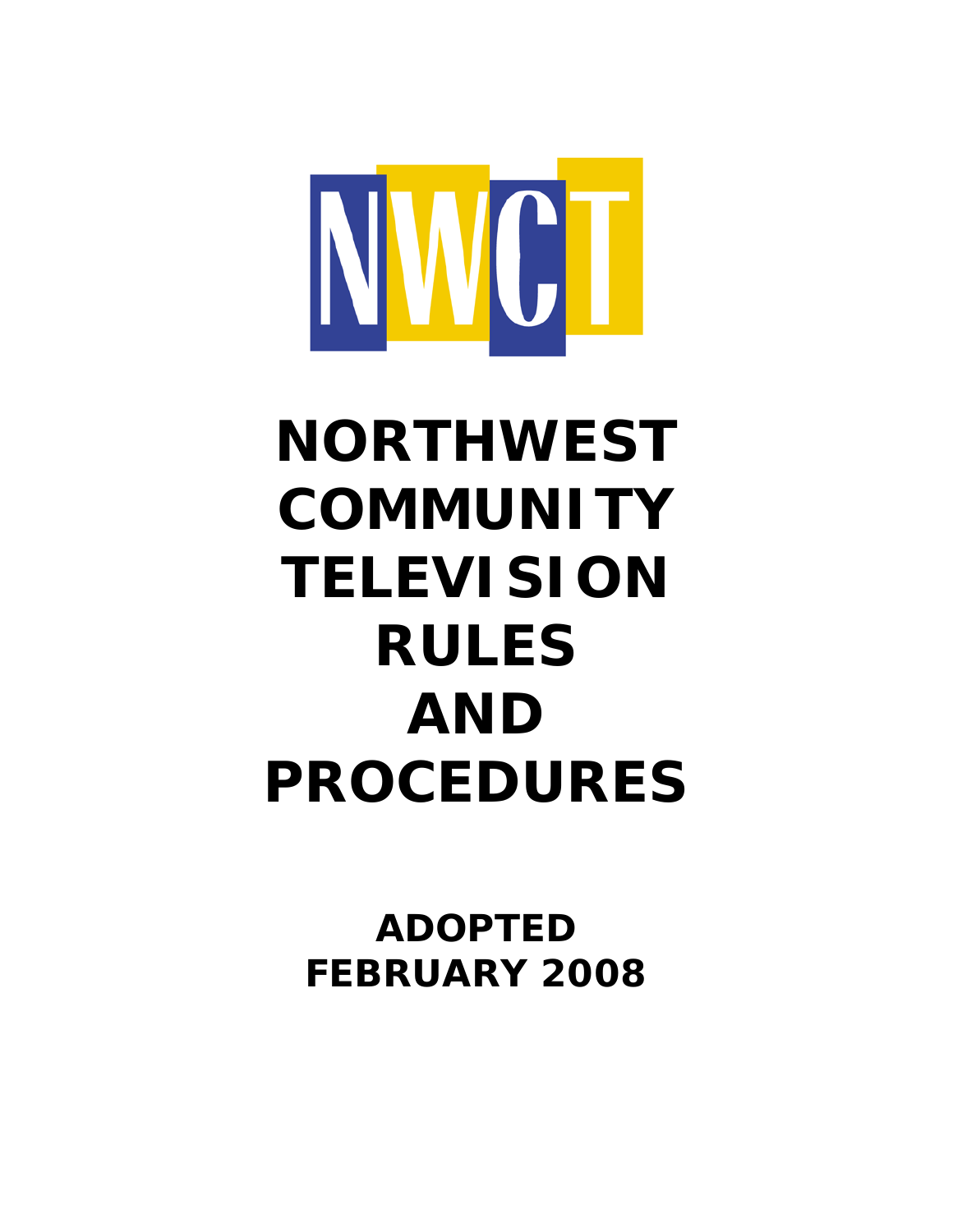

# **NORTHWEST COMMUNITY TELEVISION RULES AND PROCEDURES**

**ADOPTED FEBRUARY 2008**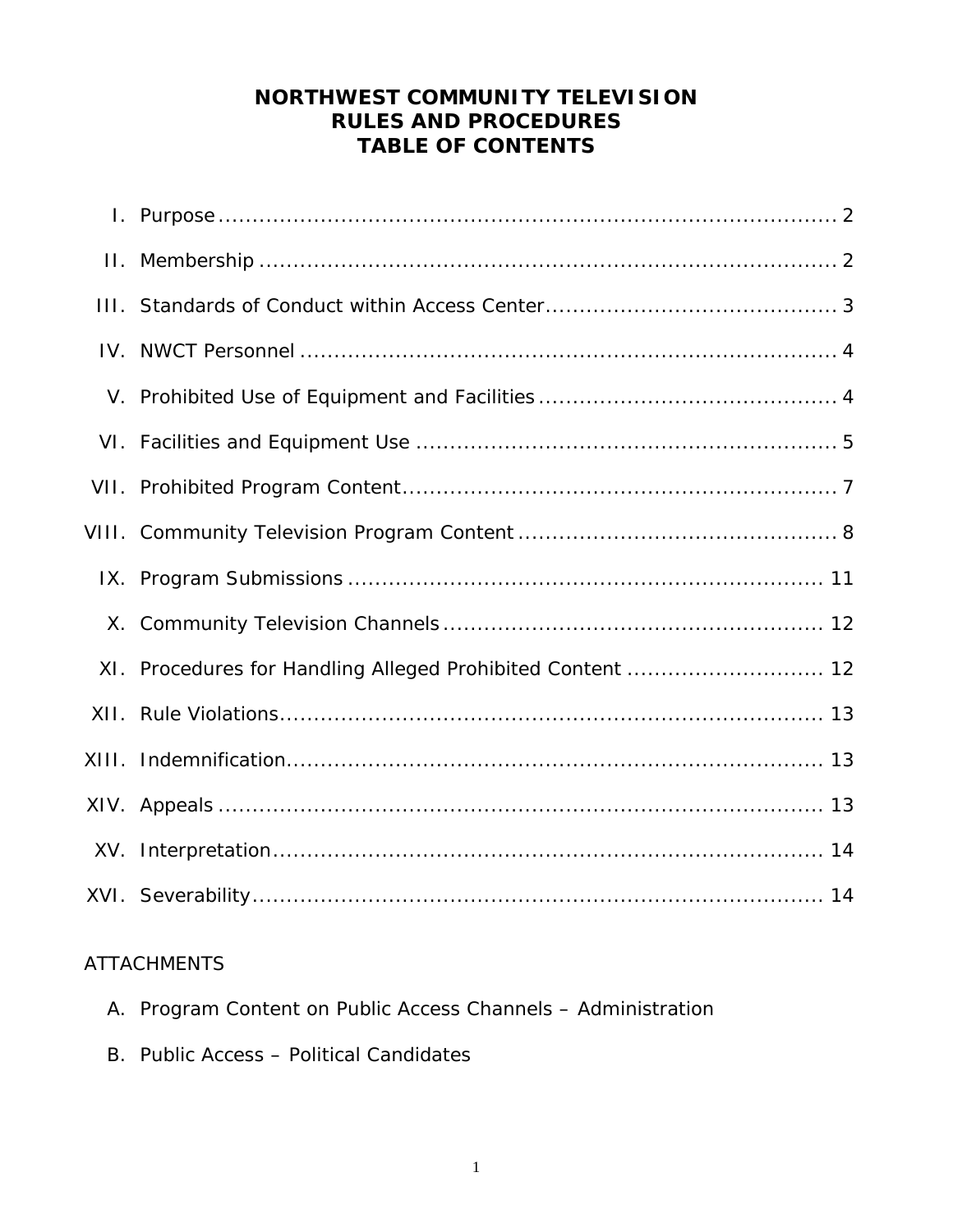# **NORTHWEST COMMUNITY TELEVISION RULES AND PROCEDURES TABLE OF CONTENTS**

| XI. Procedures for Handling Alleged Prohibited Content  12 |
|------------------------------------------------------------|
|                                                            |
|                                                            |
|                                                            |
|                                                            |
|                                                            |

# ATTACHMENTS

- A. Program Content on Public Access Channels Administration
- B. Public Access Political Candidates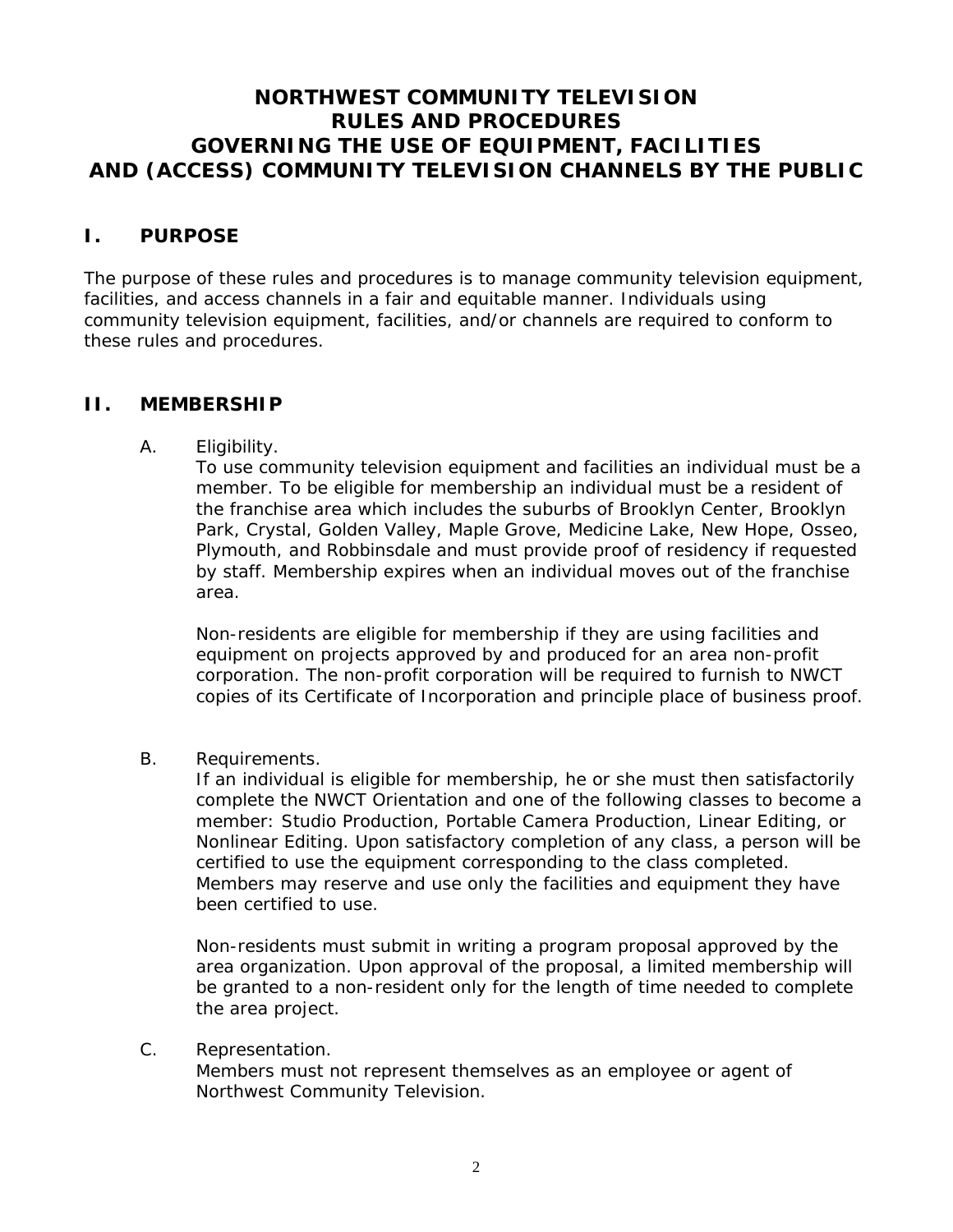# **NORTHWEST COMMUNITY TELEVISION RULES AND PROCEDURES GOVERNING THE USE OF EQUIPMENT, FACILITIES AND (ACCESS) COMMUNITY TELEVISION CHANNELS BY THE PUBLIC**

#### **I. PURPOSE**

The purpose of these rules and procedures is to manage community television equipment, facilities, and access channels in a fair and equitable manner. Individuals using community television equipment, facilities, and/or channels are required to conform to these rules and procedures.

#### **II. MEMBERSHIP**

A. Eligibility.

To use community television equipment and facilities an individual must be a member. To be eligible for membership an individual must be a resident of the franchise area which includes the suburbs of Brooklyn Center, Brooklyn Park, Crystal, Golden Valley, Maple Grove, Medicine Lake, New Hope, Osseo, Plymouth, and Robbinsdale and must provide proof of residency if requested by staff. Membership expires when an individual moves out of the franchise area.

Non-residents are eligible for membership if they are using facilities and equipment on projects approved by and produced for an area non-profit corporation. The non-profit corporation will be required to furnish to NWCT copies of its Certificate of Incorporation and principle place of business proof.

B. Requirements.

If an individual is eligible for membership, he or she must then satisfactorily complete the NWCT Orientation and one of the following classes to become a member: Studio Production, Portable Camera Production, Linear Editing, or Nonlinear Editing. Upon satisfactory completion of any class, a person will be certified to use the equipment corresponding to the class completed. Members may reserve and use only the facilities and equipment they have been certified to use.

Non-residents must submit in writing a program proposal approved by the area organization. Upon approval of the proposal, a limited membership will be granted to a non-resident only for the length of time needed to complete the area project.

#### C. Representation.

Members must not represent themselves as an employee or agent of Northwest Community Television.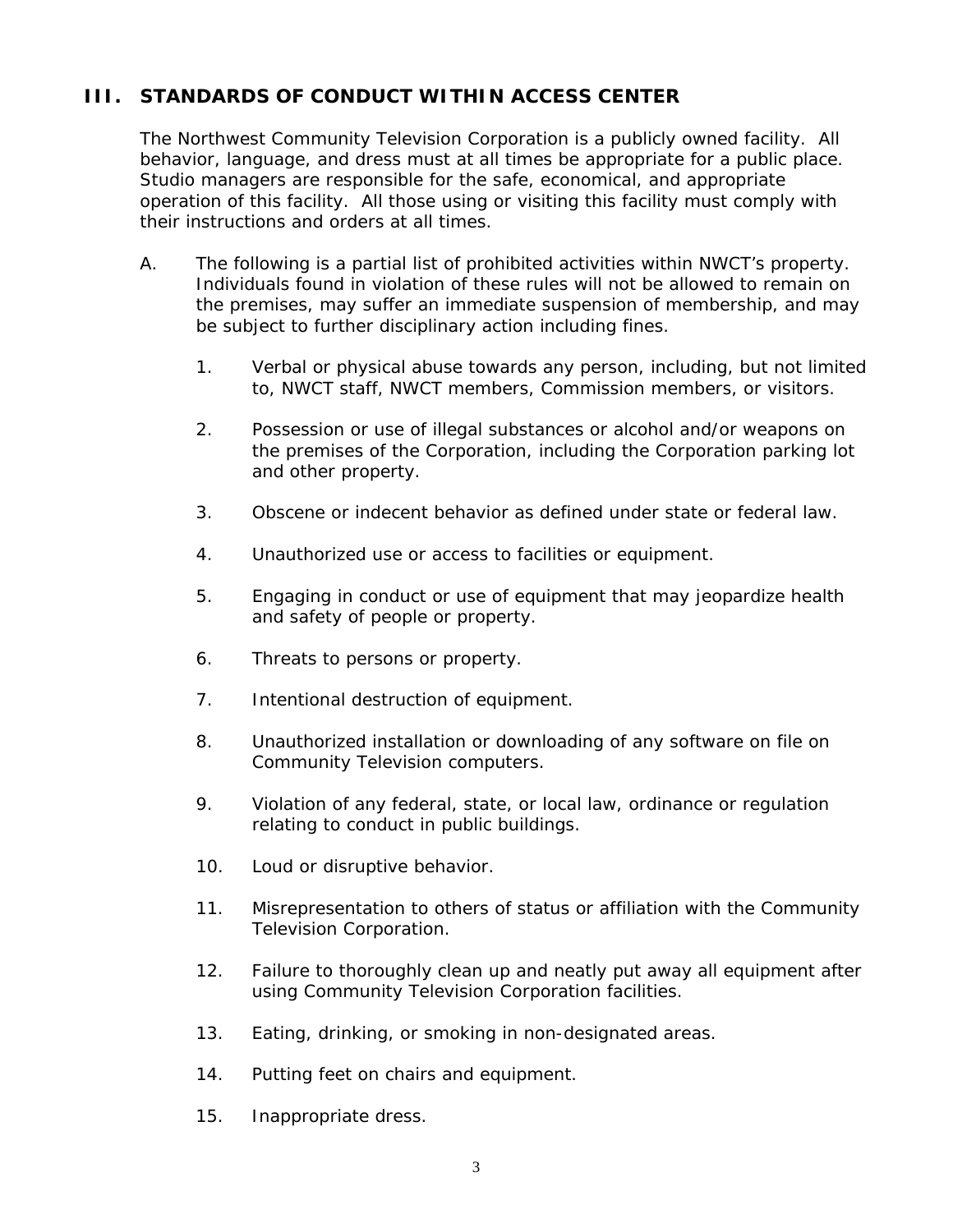# **III. STANDARDS OF CONDUCT WITHIN ACCESS CENTER**

The Northwest Community Television Corporation is a publicly owned facility. All behavior, language, and dress must at all times be appropriate for a public place. Studio managers are responsible for the safe, economical, and appropriate operation of this facility. All those using or visiting this facility must comply with their instructions and orders at all times.

- A. The following is a partial list of prohibited activities within NWCT's property. Individuals found in violation of these rules will not be allowed to remain on the premises, may suffer an immediate suspension of membership, and may be subject to further disciplinary action including fines.
	- 1. Verbal or physical abuse towards any person, including, but not limited to, NWCT staff, NWCT members, Commission members, or visitors.
	- 2. Possession or use of illegal substances or alcohol and/or weapons on the premises of the Corporation, including the Corporation parking lot and other property.
	- 3. Obscene or indecent behavior as defined under state or federal law.
	- 4. Unauthorized use or access to facilities or equipment.
	- 5. Engaging in conduct or use of equipment that may jeopardize health and safety of people or property.
	- 6. Threats to persons or property.
	- 7. Intentional destruction of equipment.
	- 8. Unauthorized installation or downloading of any software on file on Community Television computers.
	- 9. Violation of any federal, state, or local law, ordinance or regulation relating to conduct in public buildings.
	- 10. Loud or disruptive behavior.
	- 11. Misrepresentation to others of status or affiliation with the Community Television Corporation.
	- 12. Failure to thoroughly clean up and neatly put away all equipment after using Community Television Corporation facilities.
	- 13. Eating, drinking, or smoking in non-designated areas.
	- 14. Putting feet on chairs and equipment.
	- 15. Inappropriate dress.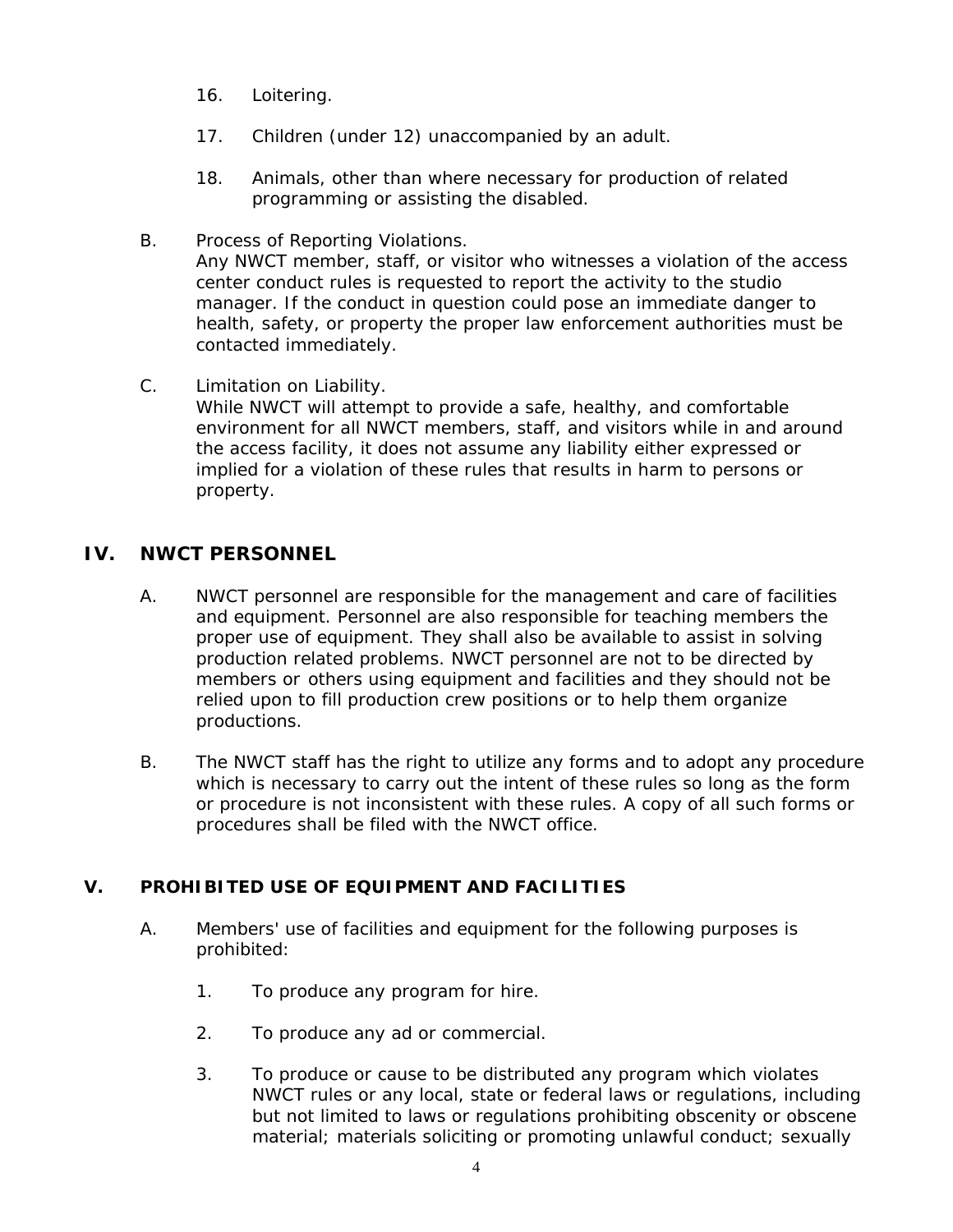- 16. Loitering.
- 17. Children (under 12) unaccompanied by an adult.
- 18. Animals, other than where necessary for production of related programming or assisting the disabled.
- B. Process of Reporting Violations. Any NWCT member, staff, or visitor who witnesses a violation of the access center conduct rules is requested to report the activity to the studio manager. If the conduct in question could pose an immediate danger to health, safety, or property the proper law enforcement authorities must be contacted immediately.
- C. Limitation on Liability. While NWCT will attempt to provide a safe, healthy, and comfortable environment for all NWCT members, staff, and visitors while in and around the access facility, it does not assume any liability either expressed or implied for a violation of these rules that results in harm to persons or property.

#### **IV. NWCT PERSONNEL**

- A. NWCT personnel are responsible for the management and care of facilities and equipment. Personnel are also responsible for teaching members the proper use of equipment. They shall also be available to assist in solving production related problems. NWCT personnel are not to be directed by members or others using equipment and facilities and they should not be relied upon to fill production crew positions or to help them organize productions.
- B. The NWCT staff has the right to utilize any forms and to adopt any procedure which is necessary to carry out the intent of these rules so long as the form or procedure is not inconsistent with these rules. A copy of all such forms or procedures shall be filed with the NWCT office.

#### **V. PROHIBITED USE OF EQUIPMENT AND FACILITIES**

- A. Members' use of facilities and equipment for the following purposes is prohibited:
	- 1. To produce any program for hire.
	- 2. To produce any ad or commercial.
	- 3. To produce or cause to be distributed any program which violates NWCT rules or any local, state or federal laws or regulations, including but not limited to laws or regulations prohibiting obscenity or obscene material; materials soliciting or promoting unlawful conduct; sexually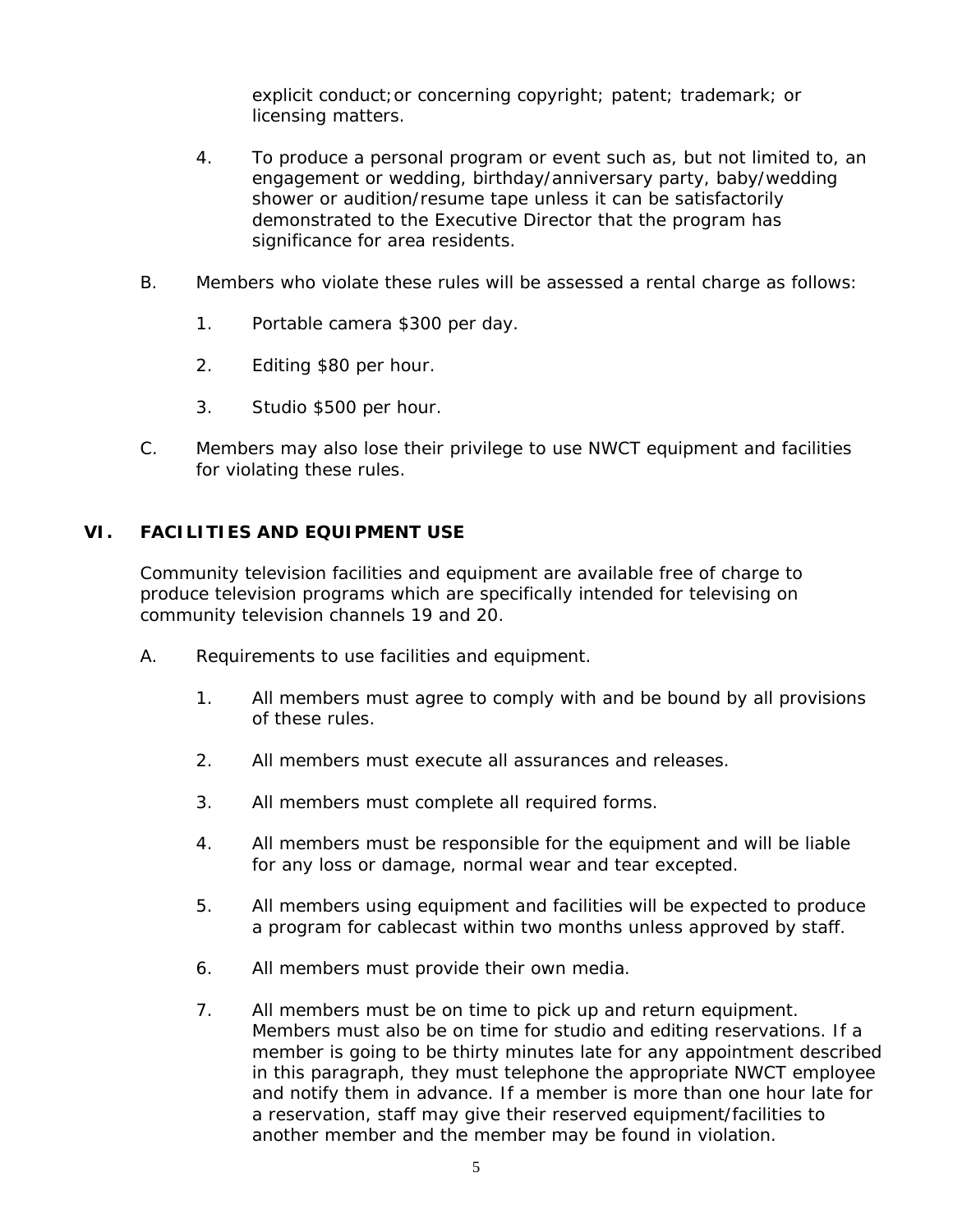explicit conduct;or concerning copyright; patent; trademark; or licensing matters.

- 4. To produce a personal program or event such as, but not limited to, an engagement or wedding, birthday/anniversary party, baby/wedding shower or audition/resume tape unless it can be satisfactorily demonstrated to the Executive Director that the program has significance for area residents.
- B. Members who violate these rules will be assessed a rental charge as follows:
	- 1. Portable camera \$300 per day.
	- 2. Editing \$80 per hour.
	- 3. Studio \$500 per hour.
- C. Members may also lose their privilege to use NWCT equipment and facilities for violating these rules.

#### **VI. FACILITIES AND EQUIPMENT USE**

Community television facilities and equipment are available free of charge to produce television programs which are specifically intended for televising on community television channels 19 and 20.

- A. Requirements to use facilities and equipment.
	- 1. All members must agree to comply with and be bound by all provisions of these rules.
	- 2. All members must execute all assurances and releases.
	- 3. All members must complete all required forms.
	- 4. All members must be responsible for the equipment and will be liable for any loss or damage, normal wear and tear excepted.
	- 5. All members using equipment and facilities will be expected to produce a program for cablecast within two months unless approved by staff.
	- 6. All members must provide their own media.
	- 7. All members must be on time to pick up and return equipment. Members must also be on time for studio and editing reservations. If a member is going to be thirty minutes late for any appointment described in this paragraph, they must telephone the appropriate NWCT employee and notify them in advance. If a member is more than one hour late for a reservation, staff may give their reserved equipment/facilities to another member and the member may be found in violation.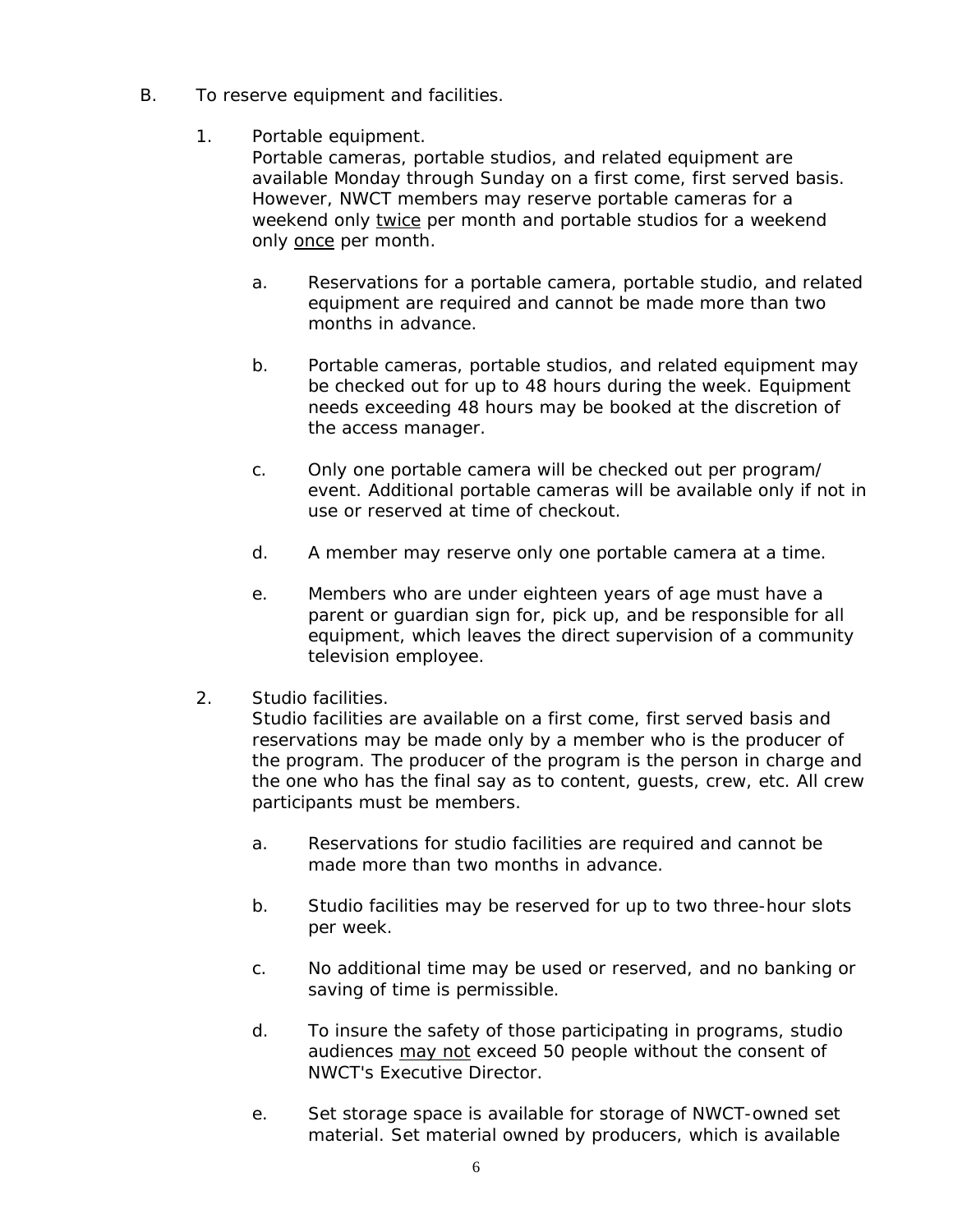- B. To reserve equipment and facilities.
	- 1. Portable equipment.

Portable cameras, portable studios, and related equipment are available Monday through Sunday on a first come, first served basis. However, NWCT members may reserve portable cameras for a weekend only twice per month and portable studios for a weekend only once per month.

- a. Reservations for a portable camera, portable studio, and related equipment are required and cannot be made more than two months in advance.
- b. Portable cameras, portable studios, and related equipment may be checked out for up to 48 hours during the week. Equipment needs exceeding 48 hours may be booked at the discretion of the access manager.
- c. Only one portable camera will be checked out per program/ event. Additional portable cameras will be available only if not in use or reserved at time of checkout.
- d. A member may reserve only one portable camera at a time.
- e. Members who are under eighteen years of age must have a parent or guardian sign for, pick up, and be responsible for all equipment, which leaves the direct supervision of a community television employee.
- 2. Studio facilities.

Studio facilities are available on a first come, first served basis and reservations may be made only by a member who is the producer of the program. The producer of the program is the person in charge and the one who has the final say as to content, guests, crew, etc. All crew participants must be members.

- a. Reservations for studio facilities are required and cannot be made more than two months in advance.
- b. Studio facilities may be reserved for up to two three-hour slots per week.
- c. No additional time may be used or reserved, and no banking or saving of time is permissible.
- d. To insure the safety of those participating in programs, studio audiences may not exceed 50 people without the consent of NWCT's Executive Director.
- e. Set storage space is available for storage of NWCT-owned set material. Set material owned by producers, which is available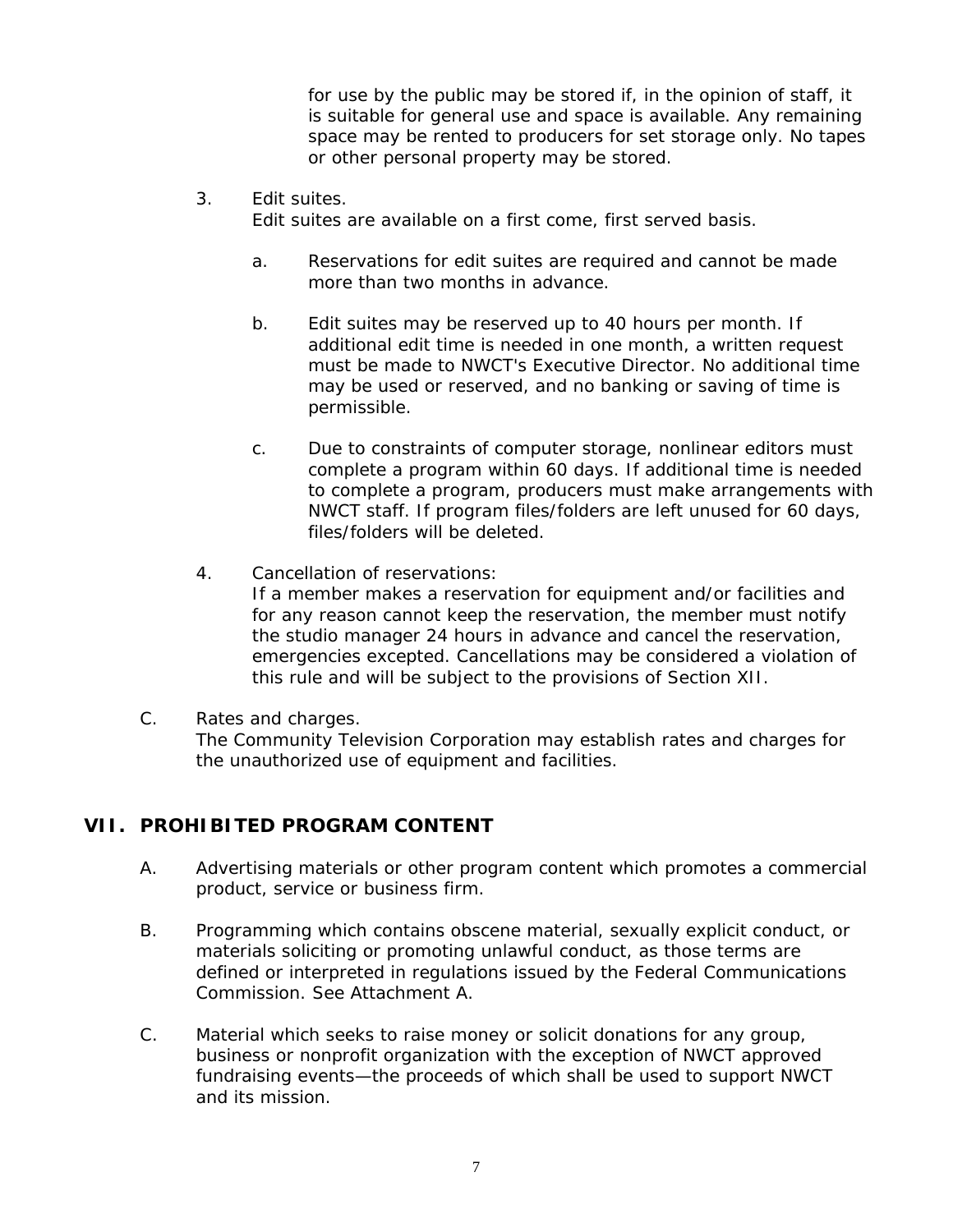for use by the public may be stored if, in the opinion of staff, it is suitable for general use and space is available. Any remaining space may be rented to producers for set storage only. No tapes or other personal property may be stored.

3. Edit suites.

Edit suites are available on a first come, first served basis.

- a. Reservations for edit suites are required and cannot be made more than two months in advance.
- b. Edit suites may be reserved up to 40 hours per month. If additional edit time is needed in one month, a written request must be made to NWCT's Executive Director. No additional time may be used or reserved, and no banking or saving of time is permissible.
- c. Due to constraints of computer storage, nonlinear editors must complete a program within 60 days. If additional time is needed to complete a program, producers must make arrangements with NWCT staff. If program files/folders are left unused for 60 days, files/folders will be deleted.
- 4. Cancellation of reservations: If a member makes a reservation for equipment and/or facilities and for any reason cannot keep the reservation, the member must notify the studio manager 24 hours in advance and cancel the reservation, emergencies excepted. Cancellations may be considered a violation of this rule and will be subject to the provisions of Section XII.
- C. Rates and charges.

The Community Television Corporation may establish rates and charges for the unauthorized use of equipment and facilities.

#### **VII. PROHIBITED PROGRAM CONTENT**

- A. Advertising materials or other program content which promotes a commercial product, service or business firm.
- B. Programming which contains obscene material, sexually explicit conduct, or materials soliciting or promoting unlawful conduct, as those terms are defined or interpreted in regulations issued by the Federal Communications Commission. See Attachment A.
- C. Material which seeks to raise money or solicit donations for any group, business or nonprofit organization with the exception of NWCT approved fundraising events—the proceeds of which shall be used to support NWCT and its mission.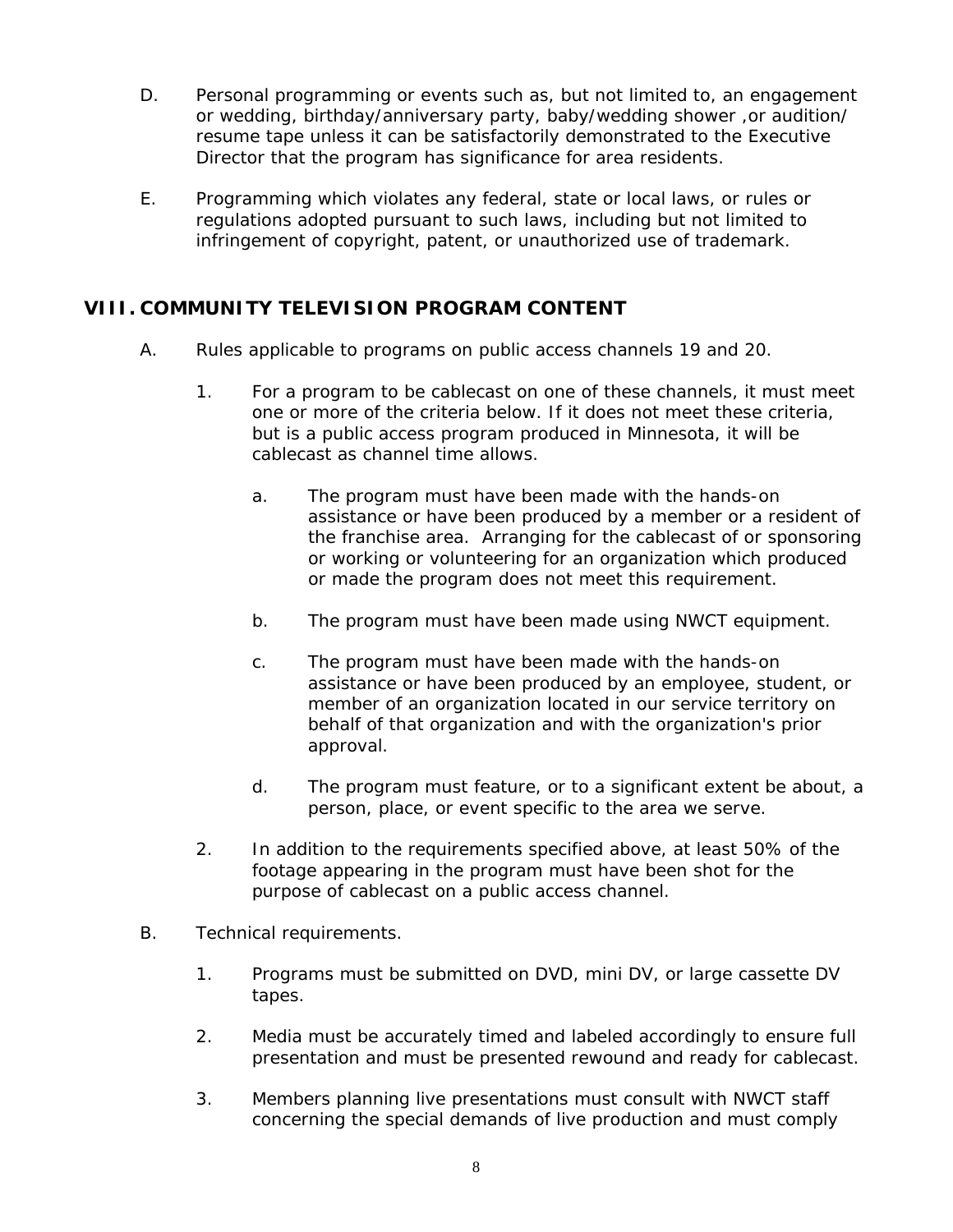- D. Personal programming or events such as, but not limited to, an engagement or wedding, birthday/anniversary party, baby/wedding shower, or audition/ resume tape unless it can be satisfactorily demonstrated to the Executive Director that the program has significance for area residents.
- E. Programming which violates any federal, state or local laws, or rules or regulations adopted pursuant to such laws, including but not limited to infringement of copyright, patent, or unauthorized use of trademark.

# **VIII. COMMUNITY TELEVISION PROGRAM CONTENT**

- A. Rules applicable to programs on public access channels 19 and 20.
	- 1. For a program to be cablecast on one of these channels, it must meet one or more of the criteria below. If it does not meet these criteria, but is a public access program produced in Minnesota, it will be cablecast as channel time allows.
		- a. The program must have been made with the hands-on assistance or have been produced by a member or a resident of the franchise area. Arranging for the cablecast of or sponsoring or working or volunteering for an organization which produced or made the program does not meet this requirement.
		- b. The program must have been made using NWCT equipment.
		- c. The program must have been made with the hands-on assistance or have been produced by an employee, student, or member of an organization located in our service territory on behalf of that organization and with the organization's prior approval.
		- d. The program must feature, or to a significant extent be about, a person, place, or event specific to the area we serve.
	- 2. In addition to the requirements specified above, at least 50% of the footage appearing in the program must have been shot for the purpose of cablecast on a public access channel.
- B. Technical requirements.
	- 1. Programs must be submitted on DVD, mini DV, or large cassette DV tapes.
	- 2. Media must be accurately timed and labeled accordingly to ensure full presentation and must be presented rewound and ready for cablecast.
	- 3. Members planning live presentations must consult with NWCT staff concerning the special demands of live production and must comply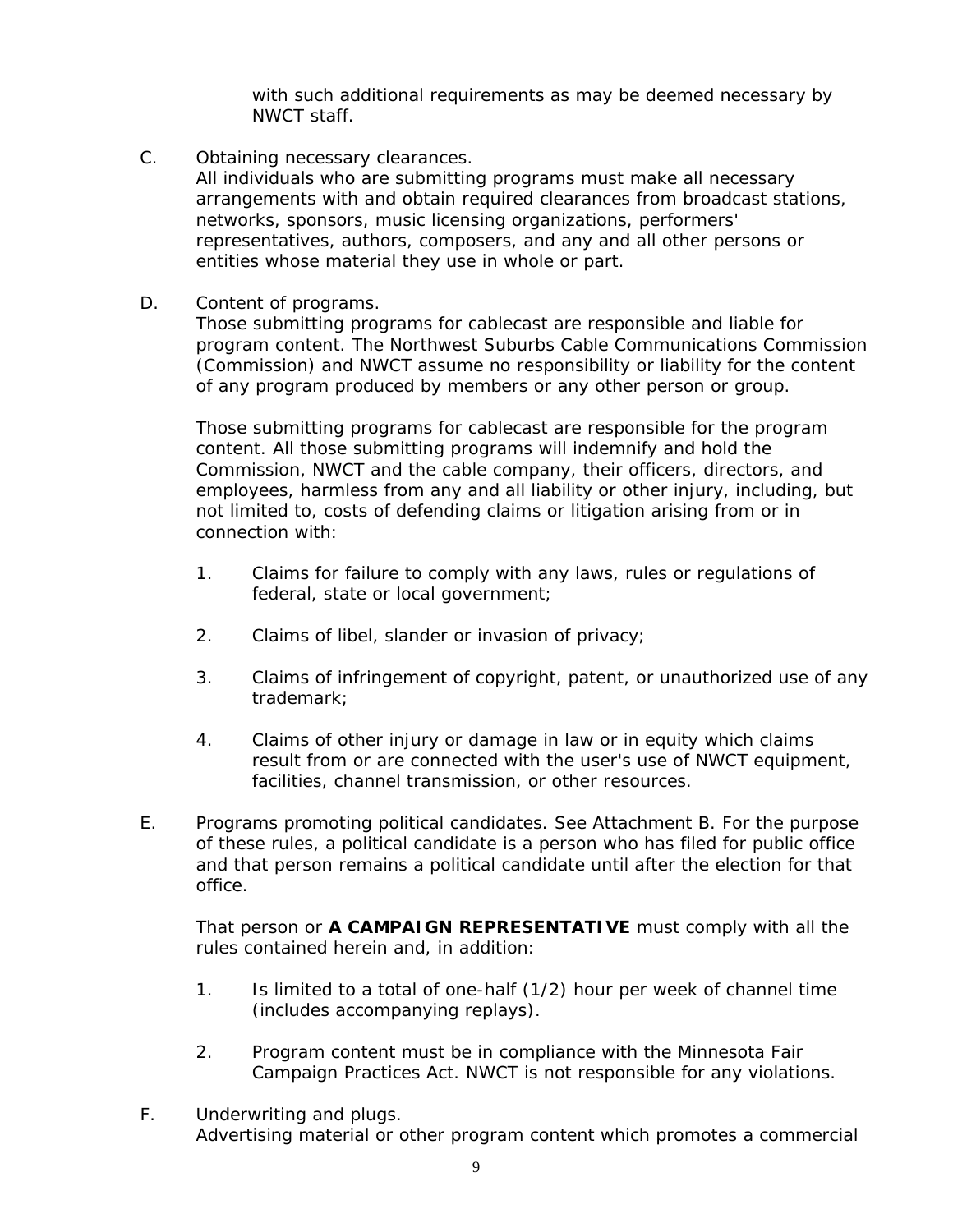with such additional requirements as may be deemed necessary by NWCT staff.

C. Obtaining necessary clearances.

All individuals who are submitting programs must make all necessary arrangements with and obtain required clearances from broadcast stations, networks, sponsors, music licensing organizations, performers' representatives, authors, composers, and any and all other persons or entities whose material they use in whole or part.

D. Content of programs.

Those submitting programs for cablecast are responsible and liable for program content. The Northwest Suburbs Cable Communications Commission (Commission) and NWCT assume no responsibility or liability for the content of any program produced by members or any other person or group.

Those submitting programs for cablecast are responsible for the program content. All those submitting programs will indemnify and hold the Commission, NWCT and the cable company, their officers, directors, and employees, harmless from any and all liability or other injury, including, but not limited to, costs of defending claims or litigation arising from or in connection with:

- 1. Claims for failure to comply with any laws, rules or regulations of federal, state or local government;
- 2. Claims of libel, slander or invasion of privacy;
- 3. Claims of infringement of copyright, patent, or unauthorized use of any trademark;
- 4. Claims of other injury or damage in law or in equity which claims result from or are connected with the user's use of NWCT equipment, facilities, channel transmission, or other resources.
- E. Programs promoting political candidates. See Attachment B. For the purpose of these rules, a political candidate is a person who has filed for public office and that person remains a political candidate until after the election for that office.

That person or **A CAMPAIGN REPRESENTATIVE** must comply with all the rules contained herein and, in addition:

- 1. Is limited to a total of one-half (1/2) hour per week of channel time (includes accompanying replays).
- 2. Program content must be in compliance with the Minnesota Fair Campaign Practices Act. NWCT is not responsible for any violations.
- F. Underwriting and plugs. Advertising material or other program content which promotes a commercial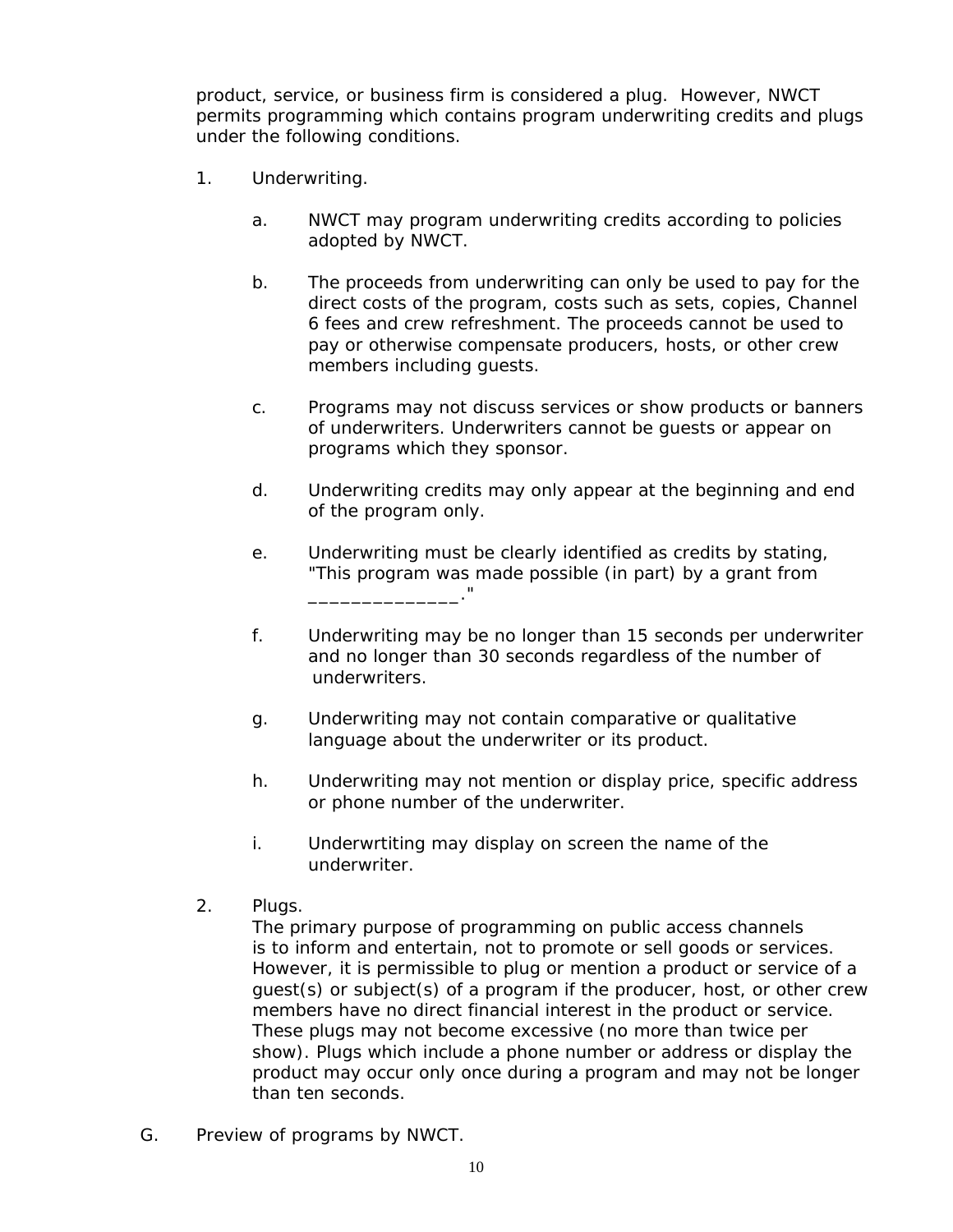product, service, or business firm is considered a plug. However, NWCT permits programming which contains program underwriting credits and plugs under the following conditions.

- 1. Underwriting.
	- a. NWCT may program underwriting credits according to policies adopted by NWCT.
	- b. The proceeds from underwriting can only be used to pay for the direct costs of the program, costs such as sets, copies, Channel 6 fees and crew refreshment. The proceeds cannot be used to pay or otherwise compensate producers, hosts, or other crew members including guests.
	- c. Programs may not discuss services or show products or banners of underwriters. Underwriters cannot be guests or appear on programs which they sponsor.
	- d. Underwriting credits may only appear at the beginning and end of the program only.
	- e. Underwriting must be clearly identified as credits by stating, "This program was made possible (in part) by a grant from \_\_\_\_\_\_\_\_\_\_\_\_\_\_."
	- f. Underwriting may be no longer than 15 seconds per underwriter and no longer than 30 seconds regardless of the number of underwriters.
	- g. Underwriting may not contain comparative or qualitative language about the underwriter or its product.
	- h. Underwriting may not mention or display price, specific address or phone number of the underwriter.
	- i. Underwrtiting may display on screen the name of the underwriter.
- 2. Plugs.

The primary purpose of programming on public access channels is to inform and entertain, not to promote or sell goods or services. However, it is permissible to plug or mention a product or service of a guest(s) or subject(s) of a program if the producer, host, or other crew members have no direct financial interest in the product or service. These plugs may not become excessive (no more than twice per show). Plugs which include a phone number or address or display the product may occur only once during a program and may not be longer than ten seconds.

G. Preview of programs by NWCT.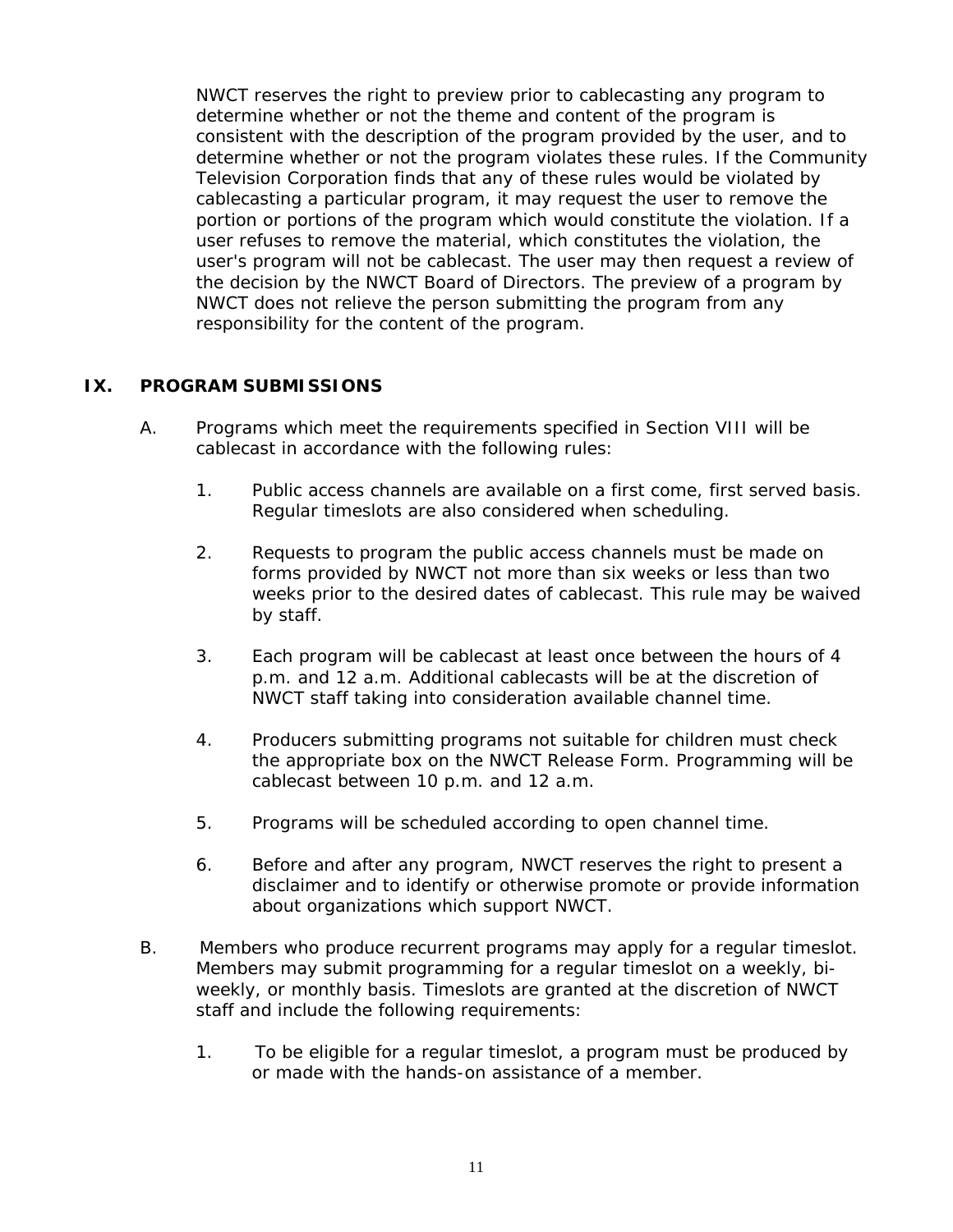NWCT reserves the right to preview prior to cablecasting any program to determine whether or not the theme and content of the program is consistent with the description of the program provided by the user, and to determine whether or not the program violates these rules. If the Community Television Corporation finds that any of these rules would be violated by cablecasting a particular program, it may request the user to remove the portion or portions of the program which would constitute the violation. If a user refuses to remove the material, which constitutes the violation, the user's program will not be cablecast. The user may then request a review of the decision by the NWCT Board of Directors. The preview of a program by NWCT does not relieve the person submitting the program from any responsibility for the content of the program.

#### **IX. PROGRAM SUBMISSIONS**

- A. Programs which meet the requirements specified in Section VIII will be cablecast in accordance with the following rules:
	- 1. Public access channels are available on a first come, first served basis. Regular timeslots are also considered when scheduling.
	- 2. Requests to program the public access channels must be made on forms provided by NWCT not more than six weeks or less than two weeks prior to the desired dates of cablecast. This rule may be waived by staff.
	- 3. Each program will be cablecast at least once between the hours of 4 p.m. and 12 a.m. Additional cablecasts will be at the discretion of NWCT staff taking into consideration available channel time.
	- 4. Producers submitting programs not suitable for children must check the appropriate box on the NWCT Release Form. Programming will be cablecast between 10 p.m. and 12 a.m.
	- 5. Programs will be scheduled according to open channel time.
	- 6. Before and after any program, NWCT reserves the right to present a disclaimer and to identify or otherwise promote or provide information about organizations which support NWCT.
- B. Members who produce recurrent programs may apply for a regular timeslot. Members may submit programming for a regular timeslot on a weekly, biweekly, or monthly basis. Timeslots are granted at the discretion of NWCT staff and include the following requirements:
	- 1. To be eligible for a regular timeslot, a program must be produced by or made with the hands-on assistance of a member.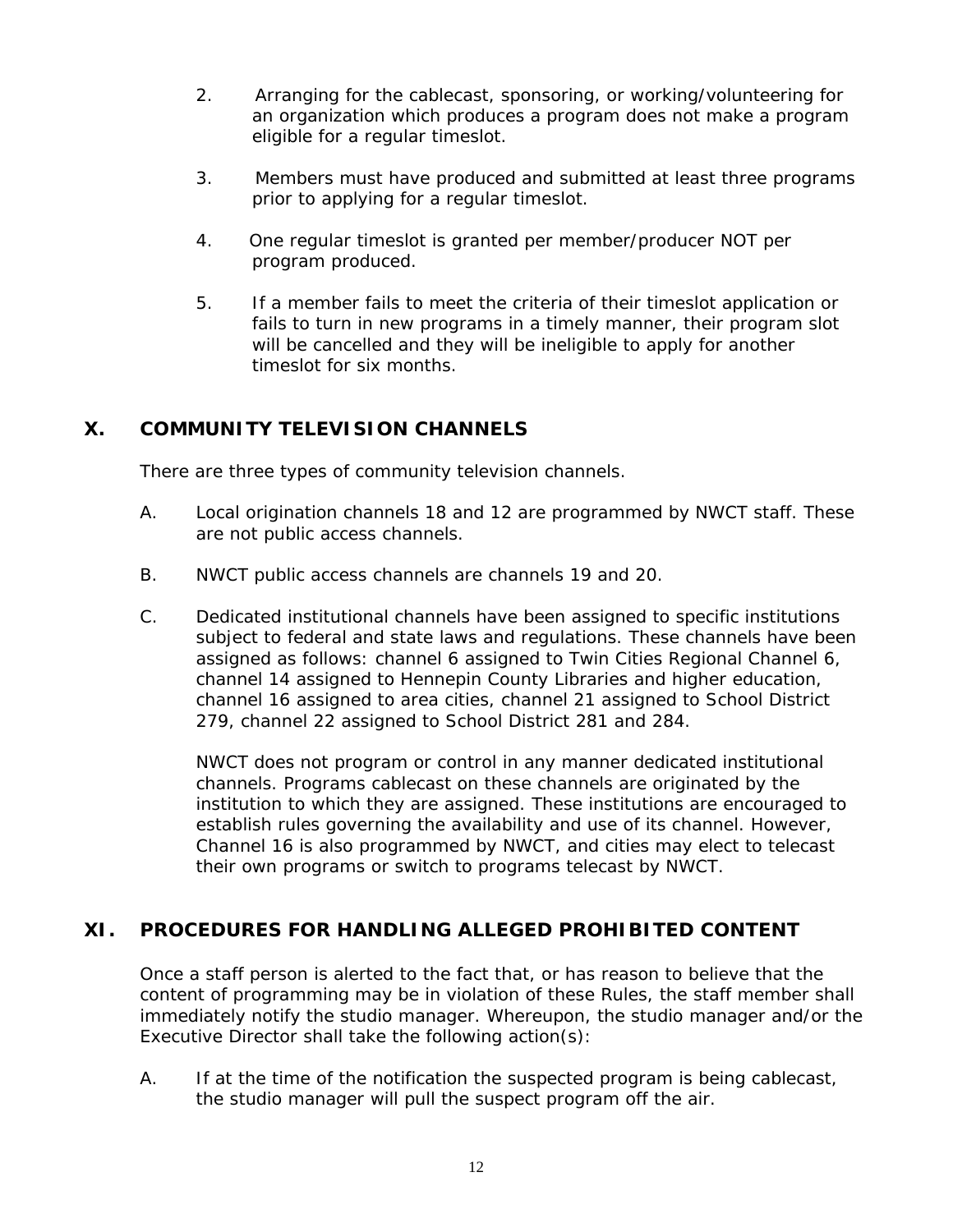- 2. Arranging for the cablecast, sponsoring, or working/volunteering for an organization which produces a program does not make a program eligible for a regular timeslot.
- 3. Members must have produced and submitted at least three programs prior to applying for a regular timeslot.
- 4. One regular timeslot is granted per member/producer NOT per program produced.
- 5. If a member fails to meet the criteria of their timeslot application or fails to turn in new programs in a timely manner, their program slot will be cancelled and they will be ineligible to apply for another timeslot for six months.

# **X. COMMUNITY TELEVISION CHANNELS**

There are three types of community television channels.

- A. Local origination channels 18 and 12 are programmed by NWCT staff. These are not public access channels.
- B. NWCT public access channels are channels 19 and 20.
- C. Dedicated institutional channels have been assigned to specific institutions subject to federal and state laws and regulations. These channels have been assigned as follows: channel 6 assigned to Twin Cities Regional Channel 6, channel 14 assigned to Hennepin County Libraries and higher education, channel 16 assigned to area cities, channel 21 assigned to School District 279, channel 22 assigned to School District 281 and 284.

NWCT does not program or control in any manner dedicated institutional channels. Programs cablecast on these channels are originated by the institution to which they are assigned. These institutions are encouraged to establish rules governing the availability and use of its channel. However, Channel 16 is also programmed by NWCT, and cities may elect to telecast their own programs or switch to programs telecast by NWCT.

# **XI. PROCEDURES FOR HANDLING ALLEGED PROHIBITED CONTENT**

Once a staff person is alerted to the fact that, or has reason to believe that the content of programming may be in violation of these Rules, the staff member shall immediately notify the studio manager. Whereupon, the studio manager and/or the Executive Director shall take the following action(s):

A. If at the time of the notification the suspected program is being cablecast, the studio manager will pull the suspect program off the air.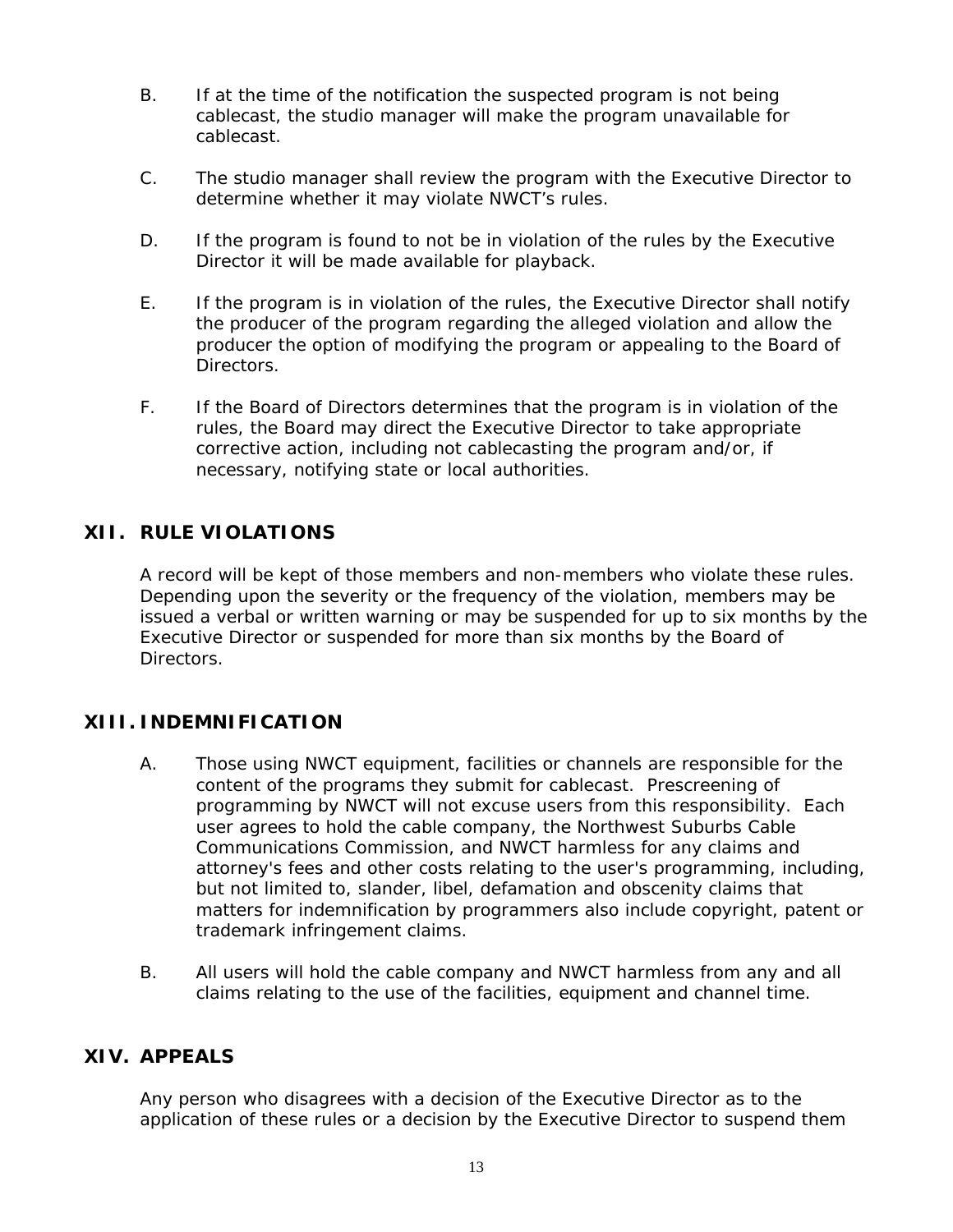- B. If at the time of the notification the suspected program is not being cablecast, the studio manager will make the program unavailable for cablecast.
- C. The studio manager shall review the program with the Executive Director to determine whether it may violate NWCT's rules.
- D. If the program is found to not be in violation of the rules by the Executive Director it will be made available for playback.
- E. If the program is in violation of the rules, the Executive Director shall notify the producer of the program regarding the alleged violation and allow the producer the option of modifying the program or appealing to the Board of Directors.
- F. If the Board of Directors determines that the program is in violation of the rules, the Board may direct the Executive Director to take appropriate corrective action, including not cablecasting the program and/or, if necessary, notifying state or local authorities.

# **XII. RULE VIOLATIONS**

A record will be kept of those members and non-members who violate these rules. Depending upon the severity or the frequency of the violation, members may be issued a verbal or written warning or may be suspended for up to six months by the Executive Director or suspended for more than six months by the Board of Directors.

#### **XIII. INDEMNIFICATION**

- A. Those using NWCT equipment, facilities or channels are responsible for the content of the programs they submit for cablecast. Prescreening of programming by NWCT will not excuse users from this responsibility. Each user agrees to hold the cable company, the Northwest Suburbs Cable Communications Commission, and NWCT harmless for any claims and attorney's fees and other costs relating to the user's programming, including, but not limited to, slander, libel, defamation and obscenity claims that matters for indemnification by programmers also include copyright, patent or trademark infringement claims.
- B. All users will hold the cable company and NWCT harmless from any and all claims relating to the use of the facilities, equipment and channel time.

#### **XIV. APPEALS**

Any person who disagrees with a decision of the Executive Director as to the application of these rules or a decision by the Executive Director to suspend them